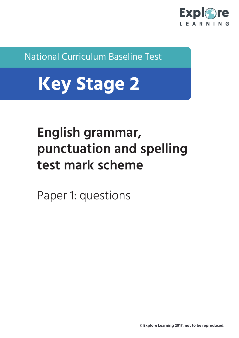

National Curriculum Baseline Test



## **English grammar, punctuation and spelling test mark scheme**

Paper 1: questions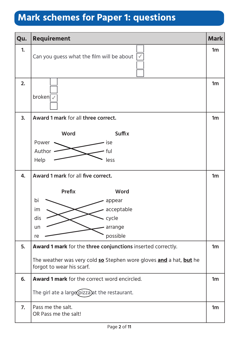## **Mark schemes for Paper 1: questions**

| Qu.            | <b>Requirement</b>                                                                                                                | <b>Mark</b>    |  |
|----------------|-----------------------------------------------------------------------------------------------------------------------------------|----------------|--|
| $\mathbf{1}$ . | Can you guess what the film will be about                                                                                         | 1 <sub>m</sub> |  |
| 2.             | broken $\sqrt{\checkmark}$                                                                                                        | 1 <sub>m</sub> |  |
| 3.             | Award 1 mark for all three correct.                                                                                               | 1m             |  |
|                | <b>Word</b><br><b>Suffix</b><br>Power<br>ise<br>ful<br>Author<br>Help<br>less                                                     |                |  |
| 4.             | Award 1 mark for all five correct.                                                                                                |                |  |
|                | <b>Prefix</b><br><b>Word</b><br>bi<br>appear<br>- acceptable<br>im<br>dis<br>cycle<br>un<br>arrange<br>possible<br>re             |                |  |
| 5.             | Award 1 mark for the three conjunctions inserted correctly.<br>The weather was very cold so Stephen wore gloves and a hat, but he | 1 <sub>m</sub> |  |
|                | forgot to wear his scarf.                                                                                                         |                |  |
| 6.             | <b>Award 1 mark</b> for the correct word encircled.                                                                               | 1 <sub>m</sub> |  |
|                | The girl ate a large (pizza) at the restaurant.                                                                                   |                |  |
| 7.             | Pass me the salt.<br>OR Pass me the salt!                                                                                         | 1 <sub>m</sub> |  |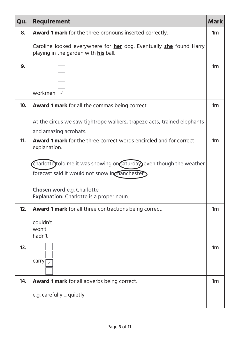| Qu. | <b>Requirement</b>                                                                                                                                                                                                                                                                              | <b>Mark</b>    |
|-----|-------------------------------------------------------------------------------------------------------------------------------------------------------------------------------------------------------------------------------------------------------------------------------------------------|----------------|
| 8.  | <b>Award 1 mark</b> for the three pronouns inserted correctly.                                                                                                                                                                                                                                  | 1 <sub>m</sub> |
|     | Caroline looked everywhere for <i>her</i> dog. Eventually she found Harry<br>playing in the garden with <b>his</b> ball.                                                                                                                                                                        |                |
| 9.  | workmen                                                                                                                                                                                                                                                                                         | 1 <sub>m</sub> |
| 10. | <b>Award 1 mark</b> for all the commas being correct.                                                                                                                                                                                                                                           | 1 <sub>m</sub> |
|     | At the circus we saw tightrope walkers, trapeze acts, trained elephants<br>and amazing acrobats.                                                                                                                                                                                                |                |
| 11. | <b>Award 1 mark</b> for the three correct words encircled and for correct<br>explanation.<br>charlotte) told me it was snowing on saturday) even though the weather<br>forecast said it would not snow in manchester.<br>Chosen word e.g. Charlotte<br>Explanation: Charlotte is a proper noun. | 1 <sub>m</sub> |
| 12. | <b>Award 1 mark</b> for all three contractions being correct.<br>couldn't<br>won't<br>hadn't                                                                                                                                                                                                    | 1 <sub>m</sub> |
| 13. | carry                                                                                                                                                                                                                                                                                           | 1 <sub>m</sub> |
| 14. | <b>Award 1 mark</b> for all adverbs being correct.                                                                                                                                                                                                                                              | 1 <sub>m</sub> |
|     | e.g. carefully  quietly                                                                                                                                                                                                                                                                         |                |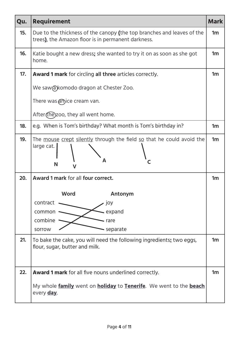| Qu. | Requirement                                                                                                                  | <b>Mark</b>    |
|-----|------------------------------------------------------------------------------------------------------------------------------|----------------|
| 15. | Due to the thickness of the canopy (the top branches and leaves of the<br>trees), the Amazon floor is in permanent darkness. | 1 <sub>m</sub> |
| 16. | Katie bought a new dress; she wanted to try it on as soon as she got<br>home.                                                | 1 <sub>m</sub> |
| 17. | Award 1 mark for circling all three articles correctly.                                                                      | 1 <sub>m</sub> |
|     | We saw ax komodo dragon at Chester Zoo.                                                                                      |                |
|     | There was an ice cream van.                                                                                                  |                |
|     | After (the) zoo, they all went home.                                                                                         |                |
| 18. | e.g. When is Tom's birthday? What month is Tom's birthday in?                                                                | 1 <sub>m</sub> |
| 19. | The mouse crept silently through the field so that he could avoid the<br>large cat.<br>N                                     | 1 <sub>m</sub> |
| 20. | Award 1 mark for all four correct.                                                                                           | 1 <sub>m</sub> |
|     | Word<br>Antonym<br>contract<br>јоу<br>expand<br>common<br>combine<br>rare<br>sorrow<br>separate                              |                |
| 21. | To bake the cake, you will need the following ingredients: two eggs,<br>flour, sugar, butter and milk.                       | 1 <sub>m</sub> |
| 22. | <b>Award 1 mark</b> for all five nouns underlined correctly.                                                                 | 1 <sub>m</sub> |
|     | My whole family went on holiday to Tenerife. We went to the beach<br>every day.                                              |                |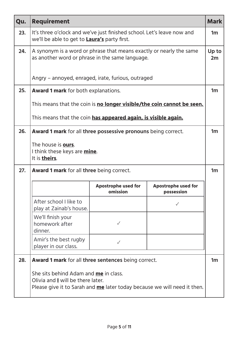| Qu. | Requirement                                                                                                                                                   |                                 |                                          | <b>Mark</b>    |  |
|-----|---------------------------------------------------------------------------------------------------------------------------------------------------------------|---------------------------------|------------------------------------------|----------------|--|
| 23. | It's three o'clock and we've just finished school. Let's leave now and<br>we'll be able to get to <b>Laura's</b> party first.                                 |                                 |                                          |                |  |
| 24. | A synonym is a word or phrase that means exactly or nearly the same<br>as another word or phrase in the same language.                                        |                                 |                                          |                |  |
|     | Angry – annoyed, enraged, irate, furious, outraged                                                                                                            |                                 |                                          |                |  |
| 25. | <b>Award 1 mark</b> for both explanations.                                                                                                                    |                                 |                                          |                |  |
|     | This means that the coin is no longer visible/the coin cannot be seen.                                                                                        |                                 |                                          |                |  |
|     | This means that the coin has appeared again, is visible again.                                                                                                |                                 |                                          |                |  |
| 26. | <b>Award 1 mark</b> for all three possessive pronouns being correct.                                                                                          |                                 |                                          |                |  |
|     | The house is <b>ours</b> .<br>I think these keys are <b>mine</b> .<br>It is theirs.                                                                           |                                 |                                          |                |  |
| 27. | <b>Award 1 mark</b> for all three being correct.                                                                                                              |                                 |                                          |                |  |
|     |                                                                                                                                                               | Apostrophe used for<br>omission | <b>Apostrophe used for</b><br>possession |                |  |
|     | After school I like to<br>play at Zainab's house.                                                                                                             |                                 | ✓                                        |                |  |
|     | We'll finish your<br>homework after<br>dinner.                                                                                                                | $\checkmark$                    |                                          |                |  |
|     | Amir's the best rugby<br>player in our class.                                                                                                                 | $\checkmark$                    |                                          |                |  |
| 28. | Award 1 mark for all three sentences being correct.                                                                                                           |                                 |                                          | 1 <sub>m</sub> |  |
|     | She sits behind Adam and <b>me</b> in class.<br>Olivia and I will be there later.<br>Please give it to Sarah and me later today because we will need it then. |                                 |                                          |                |  |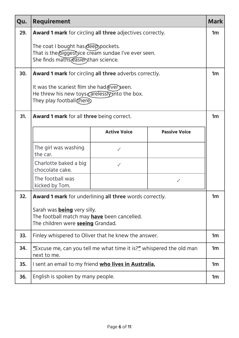| Qu. | <b>Requirement</b>                                                                                                                   |                     |                      | <b>Mark</b>    |  |
|-----|--------------------------------------------------------------------------------------------------------------------------------------|---------------------|----------------------|----------------|--|
| 29. | <b>Award 1 mark</b> for circling all three adjectives correctly.                                                                     |                     |                      |                |  |
|     | The coat I bought has deep pockets.<br>That is the biggest)ice cream sundae I've ever seen.<br>She finds maths easiery than science. |                     |                      |                |  |
| 30. | <b>Award 1 mark</b> for circling all three adverbs correctly.                                                                        |                     |                      | 1 <sub>m</sub> |  |
|     | It was the scariest film she had (ever seen.<br>He threw his new toys carelessly into the box.<br>They play football (there)         |                     |                      |                |  |
| 31. | <b>Award 1 mark</b> for all three being correct.                                                                                     |                     |                      |                |  |
|     |                                                                                                                                      | <b>Active Voice</b> | <b>Passive Voice</b> |                |  |
|     | The girl was washing<br>the car.                                                                                                     | $\checkmark$        |                      |                |  |
|     | Charlotte baked a big<br>chocolate cake.                                                                                             | $\checkmark$        |                      |                |  |
|     | The football was<br>kicked by Tom.                                                                                                   |                     | ✓                    |                |  |
| 32. | <b>Award 1 mark</b> for underlining all three words correctly.                                                                       |                     |                      |                |  |
|     | Sarah was <b>being</b> very silly.<br>The football match may <b>have</b> been cancelled.<br>The children were <b>seeing</b> Grandad. |                     |                      |                |  |
| 33. | Finley whispered to Oliver that he knew the answer.                                                                                  |                     |                      |                |  |
| 34. | "Excuse me, can you tell me what time it is?" whispered the old man<br>next to me.                                                   |                     |                      | 1 <sub>m</sub> |  |
| 35. | I sent an email to my friend who lives in Australia.                                                                                 |                     |                      | 1 <sub>m</sub> |  |
| 36. | English is spoken by many people.                                                                                                    |                     |                      | 1 <sub>m</sub> |  |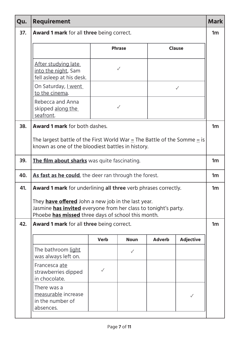| Qu. | <b>Requirement</b>                                                                                                                                                                 |              |               |               | <b>Mark</b>      |                |
|-----|------------------------------------------------------------------------------------------------------------------------------------------------------------------------------------|--------------|---------------|---------------|------------------|----------------|
| 37. | <b>Award 1 mark</b> for all three being correct.                                                                                                                                   |              |               |               |                  | 1 <sub>m</sub> |
|     |                                                                                                                                                                                    |              | <b>Phrase</b> |               | <b>Clause</b>    |                |
|     | After studying late<br>into the night, Sam<br>fell asleep at his desk.                                                                                                             |              | ✓             |               |                  |                |
|     | On Saturday, I went<br>to the cinema.                                                                                                                                              |              |               |               | $\checkmark$     |                |
|     | Rebecca and Anna<br>skipped along the<br>seafront.                                                                                                                                 |              | ✓             |               |                  |                |
| 38. | <b>Award 1 mark</b> for both dashes.                                                                                                                                               |              |               |               |                  | 1 <sub>m</sub> |
|     | The largest battle of the First World War $\pm$ The Battle of the Somme $\pm$ is<br>known as one of the bloodiest battles in history.                                              |              |               |               |                  |                |
| 39. | <b>The film about sharks</b> was quite fascinating.                                                                                                                                |              |               |               |                  | 1 <sub>m</sub> |
| 40. | As fast as he could, the deer ran through the forest.                                                                                                                              |              |               |               |                  | 1 <sub>m</sub> |
| 41. | <b>Award 1 mark</b> for underlining all three verb phrases correctly.                                                                                                              |              |               |               |                  | 1 <sub>m</sub> |
|     | They <b>have offered</b> John a new job in the last year.<br>Jasmine has invited everyone from her class to tonight's party.<br>Phoebe has missed three days of school this month. |              |               |               |                  |                |
| 42. | <b>Award 1 mark</b> for all three being correct.                                                                                                                                   |              |               |               | 1 <sub>m</sub>   |                |
|     |                                                                                                                                                                                    | <b>Verb</b>  | <b>Noun</b>   | <b>Adverb</b> | <b>Adjective</b> |                |
|     | The bathroom light<br>was always left on.                                                                                                                                          |              | $\checkmark$  |               |                  |                |
|     | Francesca ate<br>strawberries dipped<br>in chocolate.                                                                                                                              | $\checkmark$ |               |               |                  |                |
|     | There was a<br>measurable increase<br>in the number of<br>absences.                                                                                                                |              |               |               |                  |                |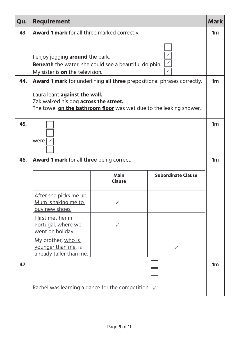| Qu. | Requirement                                                                                                                                                       |                              |                           | <b>Mark</b>    |
|-----|-------------------------------------------------------------------------------------------------------------------------------------------------------------------|------------------------------|---------------------------|----------------|
| 43. | <b>Award 1 mark</b> for all three marked correctly.                                                                                                               |                              |                           | 1 <sub>m</sub> |
|     | I enjoy jogging around the park.<br><b>Beneath</b> the water, she could see a beautiful dolphin.<br>My sister is on the television.                               |                              |                           |                |
| 44. | <b>Award 1 mark</b> for underlining all three prepositional phrases correctly.                                                                                    |                              |                           | 1 <sub>m</sub> |
|     | Laura leant <b>against the wall.</b><br>Zak walked his dog <b>across the street.</b><br>The towel <b>on the bathroom floor</b> was wet due to the leaking shower. |                              |                           |                |
| 45. | were                                                                                                                                                              |                              |                           | 1 <sub>m</sub> |
| 46. | <b>Award 1 mark</b> for all three being correct.                                                                                                                  |                              |                           |                |
|     |                                                                                                                                                                   | <b>Main</b><br><b>Clause</b> | <b>Subordinate Clause</b> |                |
|     | After she picks me up,<br>Mum is taking me to<br>buy new shoes.                                                                                                   | ✓                            |                           |                |
|     | I first met her in<br>Portugal, where we<br>went on holiday.                                                                                                      | $\checkmark$                 |                           |                |
|     | My brother, who is<br>younger than me, is<br>already taller than me.                                                                                              |                              |                           |                |
| 47. |                                                                                                                                                                   |                              |                           | 1m             |
|     | Rachel was learning a dance for the competition. $\sqrt{ }$                                                                                                       |                              |                           |                |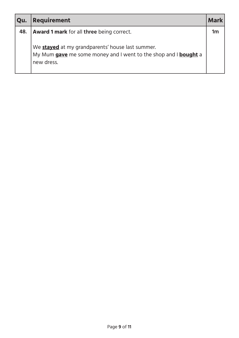| Qu. | <b>Requirement</b>                                                                                                                       | <b>Mark</b> |
|-----|------------------------------------------------------------------------------------------------------------------------------------------|-------------|
| 48. | <b>Award 1 mark</b> for all three being correct.                                                                                         | 1m          |
|     | We <b>stayed</b> at my grandparents' house last summer.<br>My Mum gave me some money and I went to the shop and I bought a<br>new dress. |             |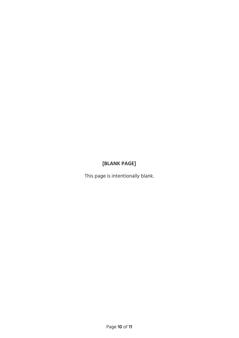## **[BLANK PAGE]**

This page is intentionally blank.